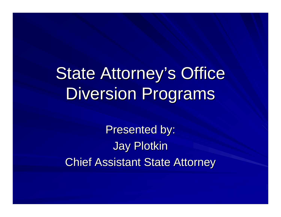# State Attorney's Office Diversion Programs

Presented by: **Jay Plotkin Chief Assistant State Attorney**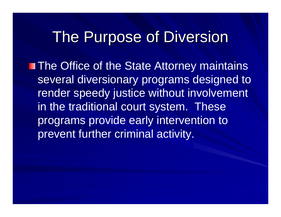#### The Purpose of Diversion

**The Office of the State Attorney maintains** several diversionary programs designed to render speedy justice without involvement in the traditional court system. These programs provide early intervention to prevent further criminal activity.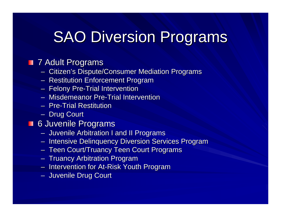## **SAO Diversion Programs**

#### **T** 7 Adult Programs

- Citizen's Dispute/Consumer Mediation Programs
- Restitution Enforcement Program
- Felony Pre-Trial Intervention
- Misdemeanor Pre-Trial Intervention
- Pre-Trial Restitution
- Drug Court

#### **6 Juvenile Programs**

- Juvenile Arbitration I and II Programs
- Intensive Delinquency Diversion Services Program
- $-$  Teen Court/Truancy Teen Court Programs
- Truancy Arbitration Program
- Intervention for At-Risk Youth Program
- Juvenile Drug Court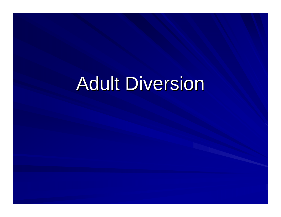# **Adult Diversion**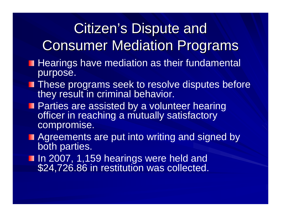#### **Citizen's Dispute and Consumer Mediation Programs**

- **Hearings have mediation as their fundamental** purpose.
- **These programs seek to resolve disputes before** they result in criminal behavior.
- **Parties are assisted by a volunteer hearing** officer in reaching a mutually satisfactory compromise.
- **Agreements are put into writing and signed by** both parties.
- In 2007, 1,159 hearings were held and<br>\$24,726.86 in restitution was collected.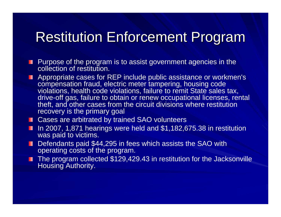#### **Restitution Enforcement Program**

- **Purpose of the program is to assist government agencies in the** collection of restitution.
- **Appropriate cases for REP include public assistance or workmen's** compensation fraud, electric meter tampering, housing code violations, health code violations, failure to remit State sales tax, drive-off gas, failure to obtain or renew occupational licenses, rental theft, and other cases from the circuit divisions where restitution recovery is the primary goal
- Cases are arbitrated by trained SAO volunteers
- In 2007, 1,871 hearings were held and \$1,182,675.38 in restitution was paid to victims.
- Defendants paid \$44,295 in fees which assists the SAO with operating costs of the program.
- The program collected \$129,429.43 in restitution for the Jacksonville Housing Authority.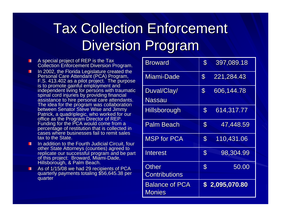## **Tax Collection Enforcement Diversion Program**

- A special project of REP is the Tax<br>Collection Enforcement Diversion Program. п
- In 2002, the Florida Legislature created the Personal Care Attendant (PCA) Program, п F.S. 413.402 as a pilot project. The purpose<br>is to promote gainful employment and<br>independent living for persons with traumatic<br>spinal cord injuries by providing financial<br>assistance to hire personal care attendants.<br>The i between Senator Steve Wise and Jimmy Patrick, a quadriplegic, who worked for our<br>office as the Program Director of REP.<br>Funding for the PCA would come from a<br>percentage of restitution that is collected in<br>cases where businesses fail to remit sales tax to the State.
- In addition to the Fourth Judicial Circuit, four other State Attorneys (counties) agreed to replicate our successful program and be part<br>of this project: Broward, Miami-Dade,<br>Hillsborough, & Palm Beach.
- As of 1/15/08 we had 29 recipients of PCA quarterly payments totaling \$56,645.38 per п quarter

| Broward                         | $\mathbf{S}$               | 397,089.18     |
|---------------------------------|----------------------------|----------------|
| Miami-Dade                      | $\boldsymbol{\mathcal{S}}$ | 221,284.43     |
| Duval/Clay/<br>Nassau           | $\boldsymbol{\mathcal{S}}$ | 606,144.78     |
| <b>Hillsborough</b>             | $\boldsymbol{\mathcal{S}}$ | 614,317.77     |
| <b>Palm Beach</b>               | $\mathbf{\$}$              | 47,448.59      |
| <b>MSP for PCA</b>              | $\boldsymbol{\mathsf{S}}$  | 110,431.06     |
| Interest                        | $\boldsymbol{\mathcal{S}}$ | 98,304.99      |
| Other<br><b>Contributions</b>   | $\mathbf{S}$               | 50.00          |
| <b>Balance of PCA</b><br>Monies |                            | \$2,095,070.80 |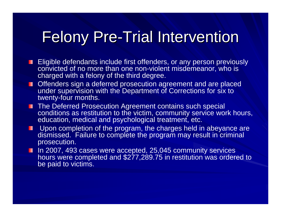## Felony Pre-Trial Intervention

- **Eligible defendants include first offenders, or any person previously** convicted of no more than one non-violent misdemeanor, who is charged with a felony of the third degree.
- **DED** Offenders sign a deferred prosecution agreement and are placed under supervision with the Department of Corrections for six to twenty-four months.
- **The Deferred Prosecution Agreement contains such special** conditions as restitution to the victim, community service work hours, education, medical and psychological treatment, etc.
- **Upon completion of the program, the charges held in abeyance are** dismissed. Failure to complete the program may result in criminal prosecution.
- In 2007, 493 cases were accepted, 25,045 community services hours were completed and \$277,289.75 in restitution was ordered to be paid to victims.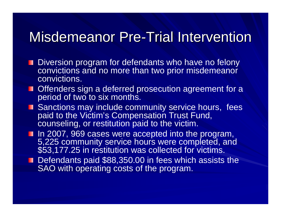#### Misdemeanor Pre-Trial Intervention

- **Diversion program for defendants who have no felony** convictions and no more than two prior misdemeanor convictions.
- **Offenders sign a deferred prosecution agreement for a** period of two to six months.
- **B** Sanctions may include community service hours, fees paid to the Victim's Compensation Trust Fund, counseling, or restitution paid to the victim.
- In 2007, 969 cases were accepted into the program,<br>5,225 community service hours were completed, and \$53,177.25 in restitution was collected for victims.
- Defendants paid \$88,350.00 in fees which assists the SAO with operating costs of the program.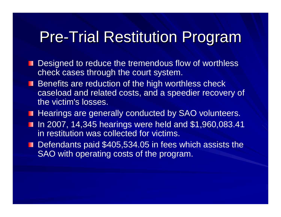#### **Pre-Trial Restitution Program**

- **Designed to reduce the tremendous flow of worthless** check cases through the court system.
- **Benefits are reduction of the high worthless check** caseload and related costs, and a speedier recovery of the victim's losses.
- **Hearings are generally conducted by SAO volunteers.**
- In 2007, 14,345 hearings were held and \$1,960,083.41 in restitution was collected for victims.
- Defendants paid \$405,534.05 in fees which assists the SAO with operating costs of the program.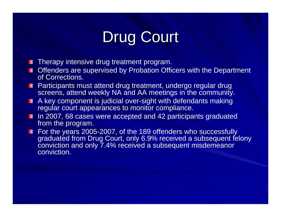## Drug Court

- **Therapy intensive drug treatment program.**
- **DED** Offenders are supervised by Probation Officers with the Department of Corrections.
- **Participants must attend drug treatment, undergo regular drug** screens, attend weekly NA and AA meetings in the community.
- **A key component is judicial over-sight with defendants making** regular court appearances to monitor compliance.
- In 2007, 68 cases were accepted and 42 participants graduated from the program.
- For the years 2005-2007, of the 189 offenders who successfully graduated from Drug Court, only 6.9% received a subsequent felony conviction and only 7.4% received a subsequent misdemeanor conviction.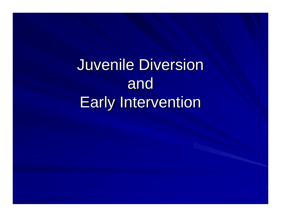## Juvenile Diversion and **Early Intervention**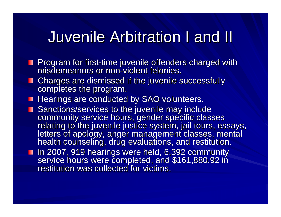#### Juvenile Arbitration I and II Juvenile Arbitration I and II

- Program for first-time juvenile offenders charged with<br>misdemeanors or non-violent felonies. misdemeanors or non-violent felonies.
- **Charges are dismissed if the juvenile successfully completes the program.**
- **Hearings are conducted by SAO volunteers.**
- Sanctions/services to the juvenile may include<br>community service hours, gender specific classes<br>relating to the juvenile justice system, jail tours, essays,<br>letters of apology, anger management classes, mental<br>health couns
- In 2007, 919 hearings were held, 6,392 community<br>service hours were completed, and \$161,880.92 in<br>restitution was collected for victims.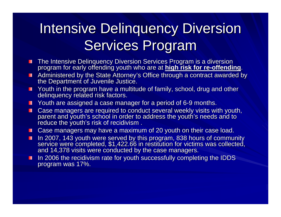#### Intensive Delinquency Diversion Services Program

- The Intensive Delinquency Diversion Services Program is a diversion<br>program for early offending youth who are at <mark>high risk for re-offending</mark>.
- Administered by the State Attorney's Office through a contract awarded by the Department of Juvenile Justice.
- Youth in the program have a multitude of family, school, drug and other delinquency related risk factors.
- **T** Youth are assigned a case manager for a period of 6-9 months.
- Case managers are required to conduct several weekly visits with youth, parent and youth's school in order to address the youth's needs and to reduce the youth's risk of recidivism.
- $\Box$  Case managers may have a maximum of 20 youth on their case load.
- In 2007, 143 youth were served by this program, 838 hours of community service were completed, \$1,422.66 in restitution for victims was collected, and 14,378 visits were conducted by the case managers. П
- In 2006 the recidivism rate for youth successfully completing the IDDS program was 17%. п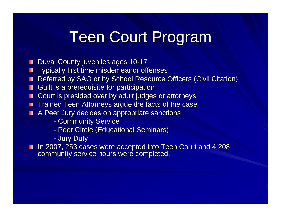#### **Teen Court Program**

- Duval County juveniles ages 10-17
- Typically first time misdemeanor offenses
- Referred by SAO or by School Resource Officers (Civil Citation)
- Guilt is a prerequisite for participation Ш
- Court is presided over by adult judges or attorneys
- **The Trained Teen Attorneys argue the facts of the case**
- A Peer Jury decides on appropriate sanctions
	- Community Service
	- Peer Circle (Educational Seminars)
	- Jury Duty

In 2007, 253 cases were accepted into Teen Court and 4,208 community service hours were completed.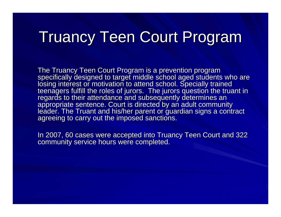#### **Truancy Teen Court Program**

The Truancy Teen Court Program is a prevention program<br>specifically designed to target middle school aged students who are<br>losing interest or motivation to attend school. Specially trained<br>teenagers fulfill the roles of ju

In 2007, 60 cases were accepted into Truancy Teen Court and 322 community service hours were completed.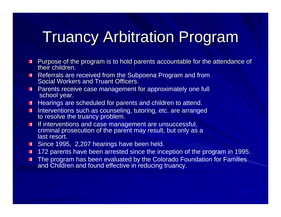## **Truancy Arbitration Program**

- Purpose of the program is to hold parents accountable for the attendance of п their children.
- Referrals are received from the Subpoena Program and from Social Workers and Truant Officers.
- **Parents receive case management for approximately one full** school year.
- **Hearings are scheduled for parents and children to attend.**
- Interventions such as counseling, tutoring, etc. are arranged to resolve the truancy problem.
- If interventions and case management are unsuccessful, п criminal prosecution of the parent may result, but only as a last resort.
- **Since 1995, 2,207 hearings have been held.**
- 172 parents have been arrested since the inception of the program in 1995.
- The program has been evaluated by the Colorado Foundation for Families п and Children and found effective in reducing truancy.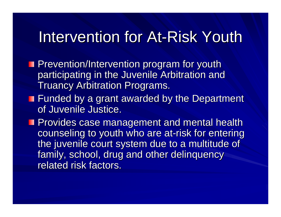#### Intervention for At-Risk Youth

- **Prevention/Intervention program for youth Prevention/Intervention program for youth** participating in the Juvenile Arbitration and **Truancy Arbitration Programs.**
- $\blacksquare$  Funded by a grant awarded by the Department of Juvenile Justice.

**Provides case management and mental health** counseling to youth who are at-risk for entering the juvenile court system due to a multitude of family, school, drug and other delinquency related risk factors.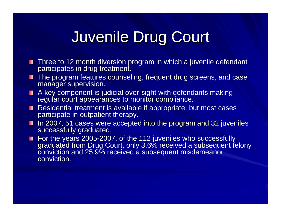## Juvenile Drug Court Juvenile Drug Court

- **Three to 12 month diversion program in which a juvenile defendant** participates in drug treatment.
- **The program features counseling, frequent drug screens, and case** manager supervision.
- A key component is judicial over-sight with defendants making regular court appearances to monitor compliance.
- Residential treatment is available if appropriate, but most cases participate in outpatient therapy.
- In 2007, 51 cases were accepted into the program and 32 juveniles successfully graduated.
- For the years 2005-2007, of the 112 juveniles who successfully graduated from Drug Court, only 3.6% received a subsequent felony conviction and 25.9% received a subsequent misdemeanor conviction.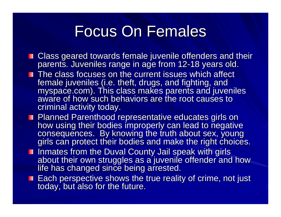#### **Focus On Females**

- Class geared towards female juvenile offenders and their<br>parents. Juveniles range in age from 12-18 years old.
- **The class focuses on the current issues which affect** female juveniles (i.e. theft, drugs, and fighting, and<br>myspace.com). This class makes parents and juveniles<br>aware of how such behaviors are the root causes to criminal activity today.
- Planned Parenthood representative educates girls on<br>how using their bodies improperly can lead to negative<br>consequences. By knowing the truth about sex, young<br>girls can protect their bodies and make the right choices.
- I Inmates from the Duval County Jail speak with girls<br>about their own struggles as a juvenile offender and how<br>life has changed since being arrested.
- Each perspective shows the true reality of crime, not just today, but also for the future.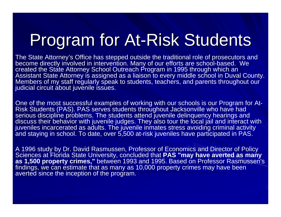# Program for At-Risk Students

The State Attorney's Office has stepped outside the traditional role of prosecutors and become directly involved in intervention. Many of our efforts are school-based. We created the State Attorney School Outreach Program in 1995 through which an Assistant State Attorney is assigned as a liaison to every middle school in Duval County. Members of my staff regularly speak to students, teachers, and parents throughout our judicial circuit about juvenile issues.

One of the most successful examples of working with our schools is our Program for At-Risk Students (PAS). PAS serves students throughout Jacksonville who have had serious discipline problems. The students attend juvenile delinquency hearings and discuss their behavior with juvenile judges. They also tour the local jail and interact with juveniles incarcerated as adults. The juvenile inmates stress avoiding criminal activity and staying in school. To date, over 5,500 at-risk juveniles have participated in PAS.

A 1996 study by Dr. David Rasmussen, Professor of Economics and Director of Policy Sciences at Florida State University, concluded that **PAS "may have averted as many as 1,500 property crimes,"** between 1993 and 1995. Based on Professor Rasmussen's findings, we can estimate that as many as 10,000 property crimes may have been averted since the inception of the program.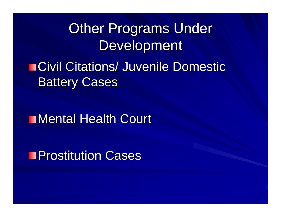#### **Other Programs Under** Development

#### **ECivil Citations/ Juvenile Domestic Battery Cases**

#### **Mental Health Court**

**Prostitution Cases**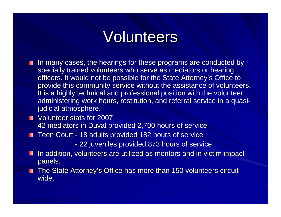#### Volunteers

- In many cases, the hearings for these programs are conducted by specially trained volunteers who serve as mediators or hearing officers. It would not be possible for the State Attorney's Office to provide this community service without the assistance of volunteers. It is a highly technical and professional position with the volunteer administering work hours, restitution, and referral service in a quasijudicial atmosphere.
- **Volunteer stats for 2007** 42 mediators in Duval provided 2,700 hours of service
- Teen Court 18 adults provided 182 hours of service
	- 22 juveniles provided 873 hours of service
- In addition, volunteers are utilized as mentors and in victim impact H panels.
- The State Attorney's Office has more than 150 volunteers circuitwide.